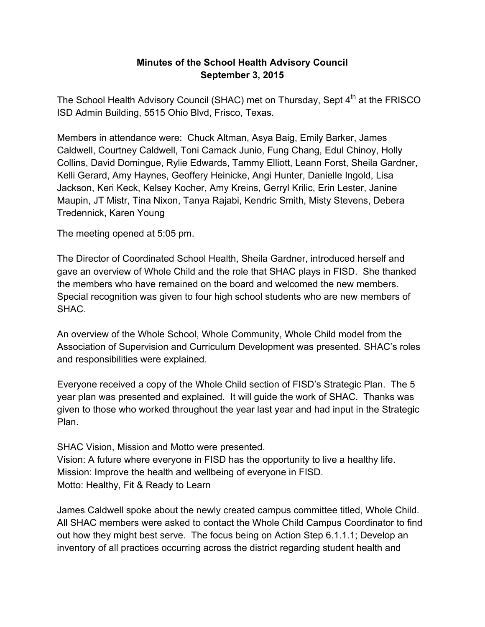## **Minutes of the School Health Advisory Council September 3, 2015**

The School Health Advisory Council (SHAC) met on Thursday, Sept 4<sup>th</sup> at the FRISCO ISD Admin Building, 5515 Ohio Blvd, Frisco, Texas.

Members in attendance were: Chuck Altman, Asya Baig, Emily Barker, James Caldwell, Courtney Caldwell, Toni Camack Junio, Fung Chang, Edul Chinoy, Holly Collins, David Domingue, Rylie Edwards, Tammy Elliott, Leann Forst, Sheila Gardner, Kelli Gerard, Amy Haynes, Geoffery Heinicke, Angi Hunter, Danielle Ingold, Lisa Jackson, Keri Keck, Kelsey Kocher, Amy Kreins, Gerryl Krilic, Erin Lester, Janine Maupin, JT Mistr, Tina Nixon, Tanya Rajabi, Kendric Smith, Misty Stevens, Debera Tredennick, Karen Young

The meeting opened at 5:05 pm.

The Director of Coordinated School Health, Sheila Gardner, introduced herself and gave an overview of Whole Child and the role that SHAC plays in FISD. She thanked the members who have remained on the board and welcomed the new members. Special recognition was given to four high school students who are new members of SHAC.

An overview of the Whole School, Whole Community, Whole Child model from the Association of Supervision and Curriculum Development was presented. SHAC's roles and responsibilities were explained.

Everyone received a copy of the Whole Child section of FISD's Strategic Plan. The 5 year plan was presented and explained. It will guide the work of SHAC. Thanks was given to those who worked throughout the year last year and had input in the Strategic Plan.

SHAC Vision, Mission and Motto were presented. Vision: A future where everyone in FISD has the opportunity to live a healthy life. Mission: Improve the health and wellbeing of everyone in FISD. Motto: Healthy, Fit & Ready to Learn

James Caldwell spoke about the newly created campus committee titled, Whole Child. All SHAC members were asked to contact the Whole Child Campus Coordinator to find out how they might best serve. The focus being on Action Step 6.1.1.1; Develop an inventory of all practices occurring across the district regarding student health and